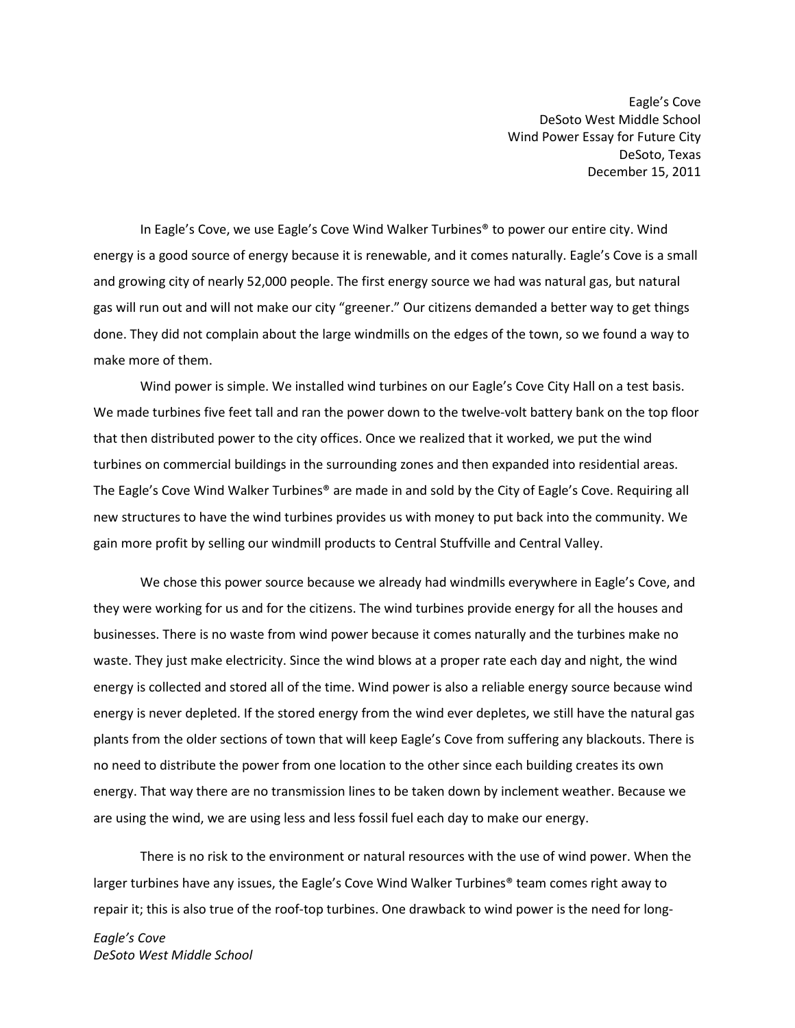Eagle's Cove DeSoto West Middle School Wind Power Essay for Future City DeSoto, Texas December 15, 2011

In Eagle's Cove, we use Eagle's Cove Wind Walker Turbines® to power our entire city. Wind energy is a good source of energy because it is renewable, and it comes naturally. Eagle's Cove is a small and growing city of nearly 52,000 people. The first energy source we had was natural gas, but natural gas will run out and will not make our city "greener." Our citizens demanded a better way to get things done. They did not complain about the large windmills on the edges of the town, so we found a way to make more of them.

Wind power is simple. We installed wind turbines on our Eagle's Cove City Hall on a test basis. We made turbines five feet tall and ran the power down to the twelve-volt battery bank on the top floor that then distributed power to the city offices. Once we realized that it worked, we put the wind turbines on commercial buildings in the surrounding zones and then expanded into residential areas. The Eagle's Cove Wind Walker Turbines® are made in and sold by the City of Eagle's Cove. Requiring all new structures to have the wind turbines provides us with money to put back into the community. We gain more profit by selling our windmill products to Central Stuffville and Central Valley.

We chose this power source because we already had windmills everywhere in Eagle's Cove, and they were working for us and for the citizens. The wind turbines provide energy for all the houses and businesses. There is no waste from wind power because it comes naturally and the turbines make no waste. They just make electricity. Since the wind blows at a proper rate each day and night, the wind energy is collected and stored all of the time. Wind power is also a reliable energy source because wind energy is never depleted. If the stored energy from the wind ever depletes, we still have the natural gas plants from the older sections of town that will keep Eagle's Cove from suffering any blackouts. There is no need to distribute the power from one location to the other since each building creates its own energy. That way there are no transmission lines to be taken down by inclement weather. Because we are using the wind, we are using less and less fossil fuel each day to make our energy.

There is no risk to the environment or natural resources with the use of wind power. When the larger turbines have any issues, the Eagle's Cove Wind Walker Turbines® team comes right away to repair it; this is also true of the roof-top turbines. One drawback to wind power is the need for long-

Eagle's Cove DeSoto West Middle School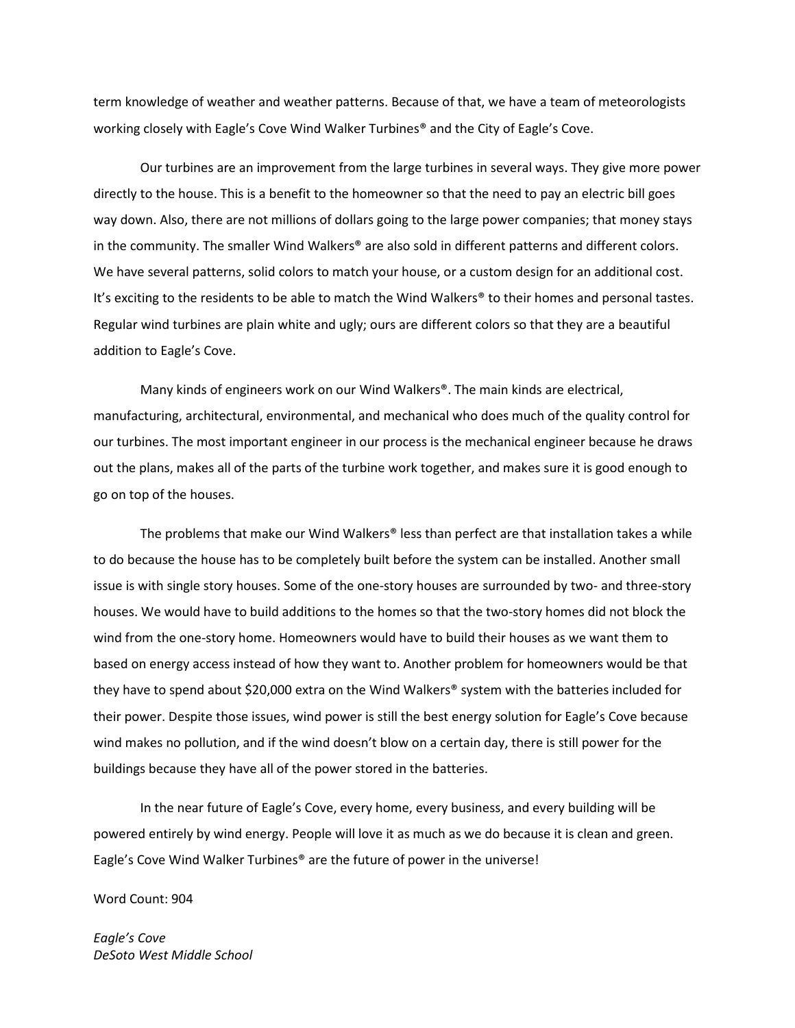term knowledge of weather and weather patterns. Because of that, we have a team of meteorologists working closely with Eagle's Cove Wind Walker Turbines® and the City of Eagle's Cove.

Our turbines are an improvement from the large turbines in several ways. They give more power directly to the house. This is a benefit to the homeowner so that the need to pay an electric bill goes way down. Also, there are not millions of dollars going to the large power companies; that money stays in the community. The smaller Wind Walkers<sup>®</sup> are also sold in different patterns and different colors. We have several patterns, solid colors to match your house, or a custom design for an additional cost. It's exciting to the residents to be able to match the Wind Walkers® to their homes and personal tastes. Regular wind turbines are plain white and ugly; ours are different colors so that they are a beautiful addition to Eagle's Cove.

Many kinds of engineers work on our Wind Walkers®. The main kinds are electrical, manufacturing, architectural, environmental, and mechanical who does much of the quality control for our turbines. The most important engineer in our process is the mechanical engineer because he draws out the plans, makes all of the parts of the turbine work together, and makes sure it is good enough to go on top of the houses.

The problems that make our Wind Walkers® less than perfect are that installation takes a while to do because the house has to be completely built before the system can be installed. Another small issue is with single story houses. Some of the one-story houses are surrounded by two- and three-story houses. We would have to build additions to the homes so that the two-story homes did not block the wind from the one-story home. Homeowners would have to build their houses as we want them to based on energy access instead of how they want to. Another problem for homeowners would be that they have to spend about \$20,000 extra on the Wind Walkers® system with the batteries included for their power. Despite those issues, wind power is still the best energy solution for Eagle's Cove because wind makes no pollution, and if the wind doesn't blow on a certain day, there is still power for the buildings because they have all of the power stored in the batteries.

In the near future of Eagle's Cove, every home, every business, and every building will be powered entirely by wind energy. People will love it as much as we do because it is clean and green. Eagle's Cove Wind Walker Turbines® are the future of power in the universe!

Word Count: 904

Eagle's Cove DeSoto West Middle School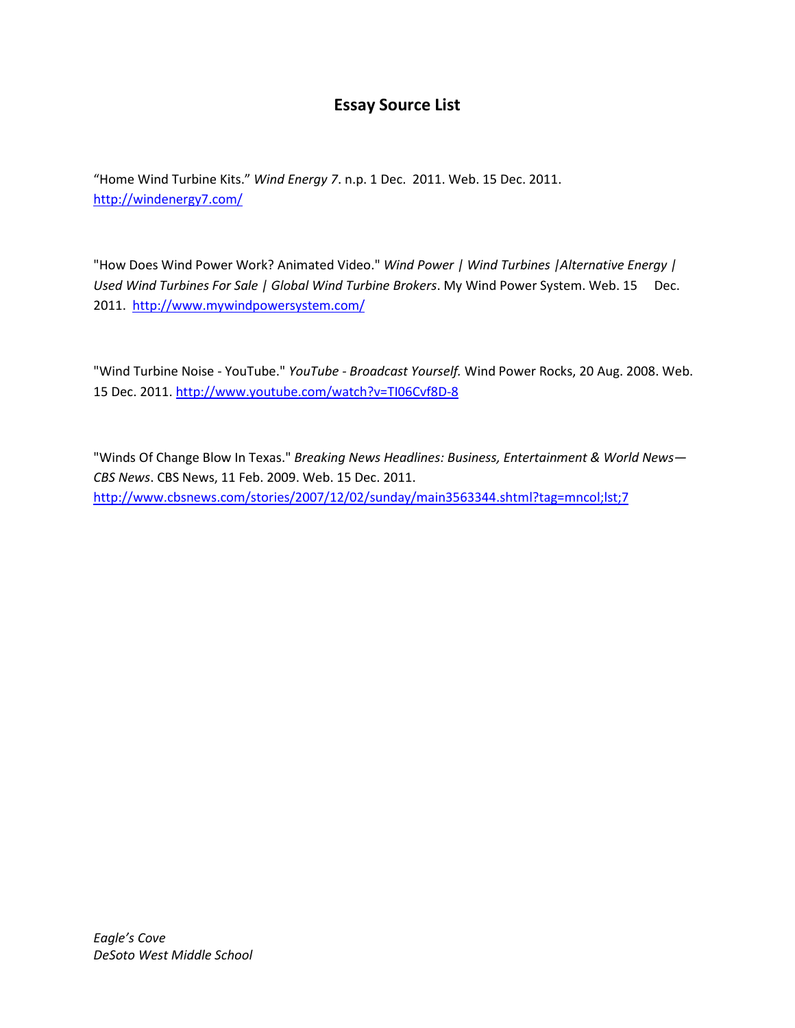### Essay Source List

"Home Wind Turbine Kits." Wind Energy 7. n.p. 1 Dec. 2011. Web. 15 Dec. 2011. http://windenergy7.com/

"How Does Wind Power Work? Animated Video." Wind Power | Wind Turbines |Alternative Energy | Used Wind Turbines For Sale | Global Wind Turbine Brokers. My Wind Power System. Web. 15 Dec. 2011. http://www.mywindpowersystem.com/

"Wind Turbine Noise - YouTube." YouTube - Broadcast Yourself. Wind Power Rocks, 20 Aug. 2008. Web. 15 Dec. 2011. http://www.youtube.com/watch?v=TI06Cvf8D-8

"Winds Of Change Blow In Texas." Breaking News Headlines: Business, Entertainment & World News— CBS News. CBS News, 11 Feb. 2009. Web. 15 Dec. 2011. http://www.cbsnews.com/stories/2007/12/02/sunday/main3563344.shtml?tag=mncol;lst;7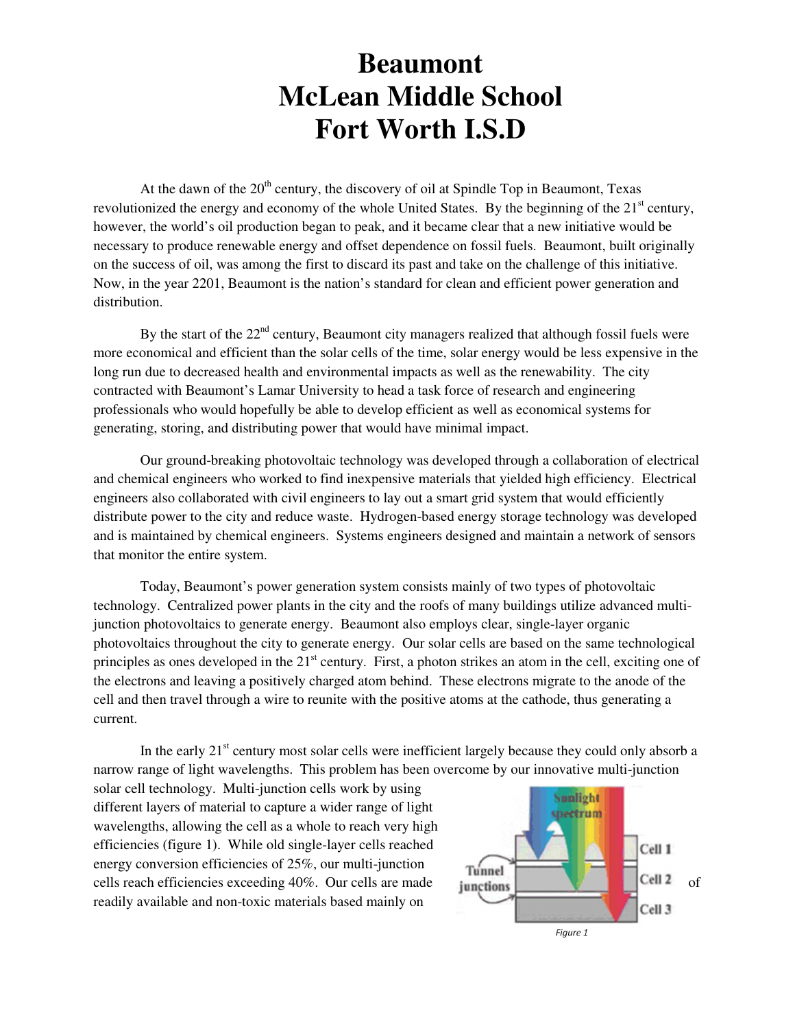At the dawn of the  $20<sup>th</sup>$  century, the discovery of oil at Spindle Top in Beaumont, Texas revolutionized the energy and economy of the whole United States. By the beginning of the 21<sup>st</sup> century, however, the world's oil production began to peak, and it became clear that a new initiative would be necessary to produce renewable energy and offset dependence on fossil fuels. Beaumont, built originally on the success of oil, was among the first to discard its past and take on the challenge of this initiative. Now, in the year 2201, Beaumont is the nation's standard for clean and efficient power generation and distribution.

By the start of the  $22<sup>nd</sup>$  century, Beaumont city managers realized that although fossil fuels were more economical and efficient than the solar cells of the time, solar energy would be less expensive in the long run due to decreased health and environmental impacts as well as the renewability. The city contracted with Beaumont's Lamar University to head a task force of research and engineering professionals who would hopefully be able to develop efficient as well as economical systems for generating, storing, and distributing power that would have minimal impact.

Our ground-breaking photovoltaic technology was developed through a collaboration of electrical and chemical engineers who worked to find inexpensive materials that yielded high efficiency. Electrical engineers also collaborated with civil engineers to lay out a smart grid system that would efficiently distribute power to the city and reduce waste. Hydrogen-based energy storage technology was developed and is maintained by chemical engineers. Systems engineers designed and maintain a network of sensors that monitor the entire system.

 Today, Beaumont's power generation system consists mainly of two types of photovoltaic technology. Centralized power plants in the city and the roofs of many buildings utilize advanced multijunction photovoltaics to generate energy. Beaumont also employs clear, single-layer organic photovoltaics throughout the city to generate energy. Our solar cells are based on the same technological principles as ones developed in the 21<sup>st</sup> century. First, a photon strikes an atom in the cell, exciting one of the electrons and leaving a positively charged atom behind. These electrons migrate to the anode of the cell and then travel through a wire to reunite with the positive atoms at the cathode, thus generating a current.

In the early  $21<sup>st</sup>$  century most solar cells were inefficient largely because they could only absorb a narrow range of light wavelengths. This problem has been overcome by our innovative multi-junction

solar cell technology. Multi-junction cells work by using different layers of material to capture a wider range of light wavelengths, allowing the cell as a whole to reach very high efficiencies (figure 1). While old single-layer cells reached energy conversion efficiencies of 25%, our multi-junction cells reach efficiencies exceeding  $40\%$ . Our cells are made **of the set of the cell and cell**  $\blacksquare$  Cell 2 of readily available and non-toxic materials based mainly on

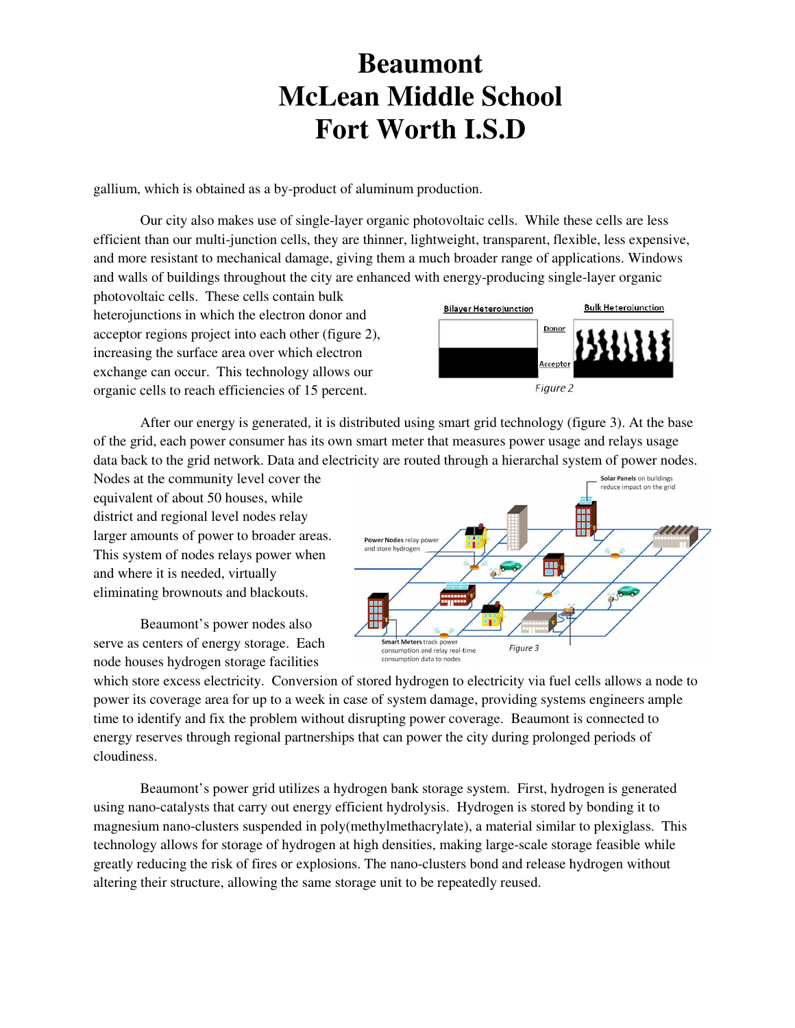gallium, which is obtained as a by-product of aluminum production.

 Our city also makes use of single-layer organic photovoltaic cells. While these cells are less efficient than our multi-junction cells, they are thinner, lightweight, transparent, flexible, less expensive, and more resistant to mechanical damage, giving them a much broader range of applications. Windows and walls of buildings throughout the city are enhanced with energy-producing single-layer organic

photovoltaic cells. These cells contain bulk heterojunctions in which the electron donor and acceptor regions project into each other (figure 2), increasing the surface area over which electron exchange can occur. This technology allows our organic cells to reach efficiencies of 15 percent.



After our energy is generated, it is distributed using smart grid technology (figure 3). At the base of the grid, each power consumer has its own smart meter that measures power usage and relays usage data back to the grid network. Data and electricity are routed through a hierarchal system of power nodes.

Nodes at the community level cover the equivalent of about 50 houses, while district and regional level nodes relay larger amounts of power to broader areas. This system of nodes relays power when and where it is needed, virtually eliminating brownouts and blackouts.

Beaumont's power nodes also serve as centers of energy storage. Each node houses hydrogen storage facilities



which store excess electricity. Conversion of stored hydrogen to electricity via fuel cells allows a node to power its coverage area for up to a week in case of system damage, providing systems engineers ample time to identify and fix the problem without disrupting power coverage. Beaumont is connected to energy reserves through regional partnerships that can power the city during prolonged periods of cloudiness.

Beaumont's power grid utilizes a hydrogen bank storage system. First, hydrogen is generated using nano-catalysts that carry out energy efficient hydrolysis. Hydrogen is stored by bonding it to magnesium nano-clusters suspended in poly(methylmethacrylate), a material similar to plexiglass. This technology allows for storage of hydrogen at high densities, making large-scale storage feasible while greatly reducing the risk of fires or explosions. The nano-clusters bond and release hydrogen without altering their structure, allowing the same storage unit to be repeatedly reused.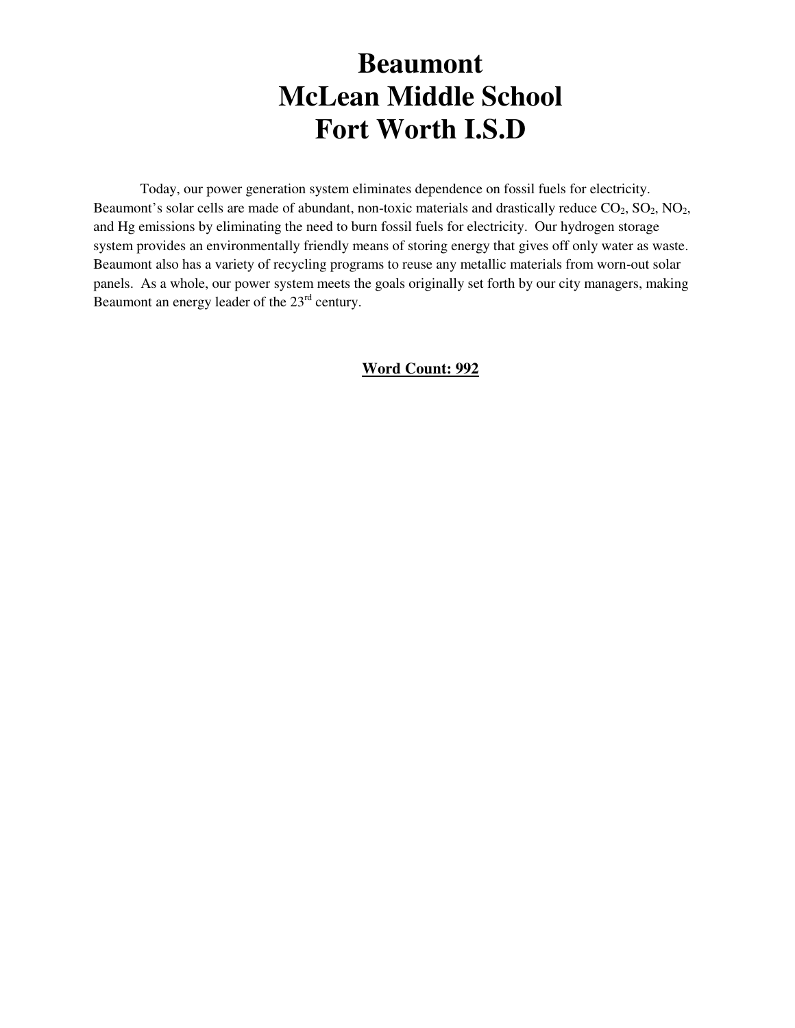Today, our power generation system eliminates dependence on fossil fuels for electricity. Beaumont's solar cells are made of abundant, non-toxic materials and drastically reduce  $CO_2$ ,  $SO_2$ ,  $NO_2$ , and Hg emissions by eliminating the need to burn fossil fuels for electricity. Our hydrogen storage system provides an environmentally friendly means of storing energy that gives off only water as waste. Beaumont also has a variety of recycling programs to reuse any metallic materials from worn-out solar panels. As a whole, our power system meets the goals originally set forth by our city managers, making Beaumont an energy leader of the 23<sup>rd</sup> century.

#### **Word Count: 992**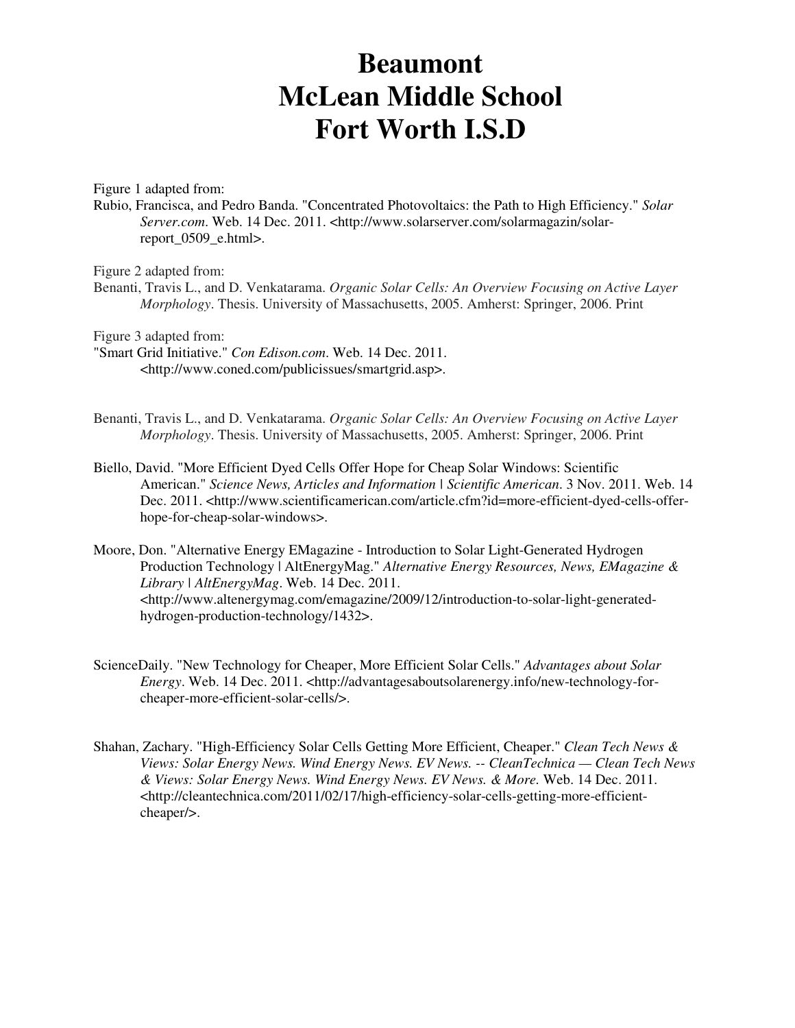Figure 1 adapted from:

Rubio, Francisca, and Pedro Banda. "Concentrated Photovoltaics: the Path to High Efficiency." *Solar Server.com*. Web. 14 Dec. 2011. <http://www.solarserver.com/solarmagazin/solarreport 0509 e.html>.

Figure 2 adapted from:

Benanti, Travis L., and D. Venkatarama. *Organic Solar Cells: An Overview Focusing on Active Layer Morphology*. Thesis. University of Massachusetts, 2005. Amherst: Springer, 2006. Print

Figure 3 adapted from:

- "Smart Grid Initiative." *Con Edison.com*. Web. 14 Dec. 2011. <http://www.coned.com/publicissues/smartgrid.asp>.
- Benanti, Travis L., and D. Venkatarama. *Organic Solar Cells: An Overview Focusing on Active Layer Morphology*. Thesis. University of Massachusetts, 2005. Amherst: Springer, 2006. Print
- Biello, David. "More Efficient Dyed Cells Offer Hope for Cheap Solar Windows: Scientific American." *Science News, Articles and Information | Scientific American*. 3 Nov. 2011. Web. 14 Dec. 2011. <http://www.scientificamerican.com/article.cfm?id=more-efficient-dyed-cells-offerhope-for-cheap-solar-windows>.
- Moore, Don. "Alternative Energy EMagazine Introduction to Solar Light-Generated Hydrogen Production Technology | AltEnergyMag." *Alternative Energy Resources, News, EMagazine & Library | AltEnergyMag*. Web. 14 Dec. 2011. <http://www.altenergymag.com/emagazine/2009/12/introduction-to-solar-light-generatedhydrogen-production-technology/1432>.
- ScienceDaily. "New Technology for Cheaper, More Efficient Solar Cells." *Advantages about Solar Energy*. Web. 14 Dec. 2011. <http://advantagesaboutsolarenergy.info/new-technology-forcheaper-more-efficient-solar-cells/>.
- Shahan, Zachary. "High-Efficiency Solar Cells Getting More Efficient, Cheaper." *Clean Tech News & Views: Solar Energy News. Wind Energy News. EV News. -- CleanTechnica — Clean Tech News & Views: Solar Energy News. Wind Energy News. EV News. & More.* Web. 14 Dec. 2011. <http://cleantechnica.com/2011/02/17/high-efficiency-solar-cells-getting-more-efficientcheaper/>.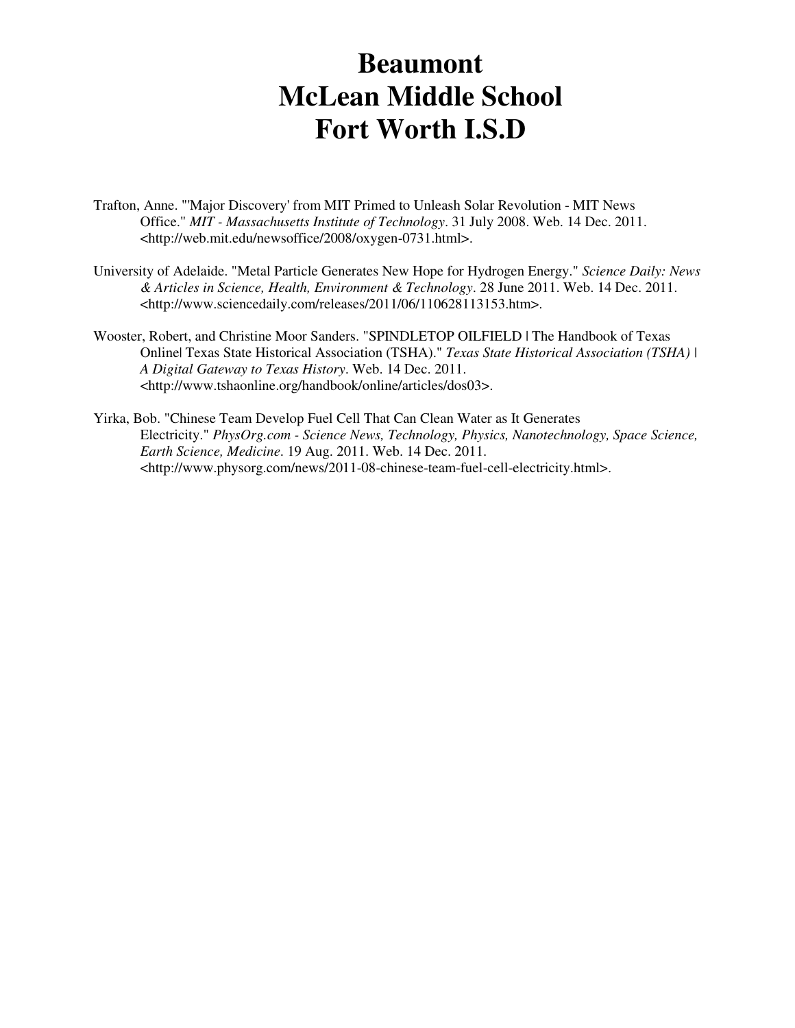- Trafton, Anne. "'Major Discovery' from MIT Primed to Unleash Solar Revolution MIT News Office." *MIT - Massachusetts Institute of Technology*. 31 July 2008. Web. 14 Dec. 2011. <http://web.mit.edu/newsoffice/2008/oxygen-0731.html>.
- University of Adelaide. "Metal Particle Generates New Hope for Hydrogen Energy." *Science Daily: News & Articles in Science, Health, Environment & Technology*. 28 June 2011. Web. 14 Dec. 2011. <http://www.sciencedaily.com/releases/2011/06/110628113153.htm>.
- Wooster, Robert, and Christine Moor Sanders. "SPINDLETOP OILFIELD | The Handbook of Texas Online| Texas State Historical Association (TSHA)." *Texas State Historical Association (TSHA) | A Digital Gateway to Texas History*. Web. 14 Dec. 2011. <http://www.tshaonline.org/handbook/online/articles/dos03>.
- Yirka, Bob. "Chinese Team Develop Fuel Cell That Can Clean Water as It Generates Electricity." *PhysOrg.com - Science News, Technology, Physics, Nanotechnology, Space Science, Earth Science, Medicine*. 19 Aug. 2011. Web. 14 Dec. 2011. <http://www.physorg.com/news/2011-08-chinese-team-fuel-cell-electricity.html>.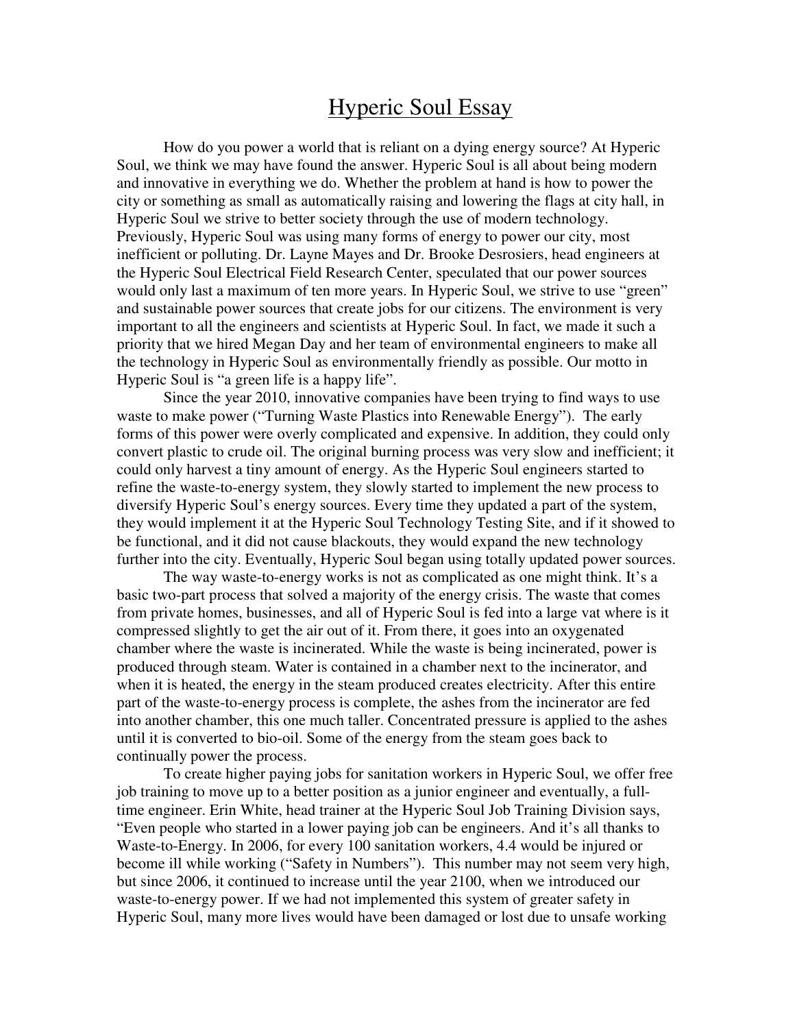### Hyperic Soul Essay

How do you power a world that is reliant on a dying energy source? At Hyperic Soul, we think we may have found the answer. Hyperic Soul is all about being modern and innovative in everything we do. Whether the problem at hand is how to power the city or something as small as automatically raising and lowering the flags at city hall, in Hyperic Soul we strive to better society through the use of modern technology. Previously, Hyperic Soul was using many forms of energy to power our city, most inefficient or polluting. Dr. Layne Mayes and Dr. Brooke Desrosiers, head engineers at the Hyperic Soul Electrical Field Research Center, speculated that our power sources would only last a maximum of ten more years. In Hyperic Soul, we strive to use "green" and sustainable power sources that create jobs for our citizens. The environment is very important to all the engineers and scientists at Hyperic Soul. In fact, we made it such a priority that we hired Megan Day and her team of environmental engineers to make all the technology in Hyperic Soul as environmentally friendly as possible. Our motto in Hyperic Soul is "a green life is a happy life".

Since the year 2010, innovative companies have been trying to find ways to use waste to make power ("Turning Waste Plastics into Renewable Energy"). The early forms of this power were overly complicated and expensive. In addition, they could only convert plastic to crude oil. The original burning process was very slow and inefficient; it could only harvest a tiny amount of energy. As the Hyperic Soul engineers started to refine the waste-to-energy system, they slowly started to implement the new process to diversify Hyperic Soul's energy sources. Every time they updated a part of the system, they would implement it at the Hyperic Soul Technology Testing Site, and if it showed to be functional, and it did not cause blackouts, they would expand the new technology further into the city. Eventually, Hyperic Soul began using totally updated power sources.

The way waste-to-energy works is not as complicated as one might think. It's a basic two-part process that solved a majority of the energy crisis. The waste that comes from private homes, businesses, and all of Hyperic Soul is fed into a large vat where is it compressed slightly to get the air out of it. From there, it goes into an oxygenated chamber where the waste is incinerated. While the waste is being incinerated, power is produced through steam. Water is contained in a chamber next to the incinerator, and when it is heated, the energy in the steam produced creates electricity. After this entire part of the waste-to-energy process is complete, the ashes from the incinerator are fed into another chamber, this one much taller. Concentrated pressure is applied to the ashes until it is converted to bio-oil. Some of the energy from the steam goes back to continually power the process.

To create higher paying jobs for sanitation workers in Hyperic Soul, we offer free job training to move up to a better position as a junior engineer and eventually, a fulltime engineer. Erin White, head trainer at the Hyperic Soul Job Training Division says, "Even people who started in a lower paying job can be engineers. And it's all thanks to Waste-to-Energy. In 2006, for every 100 sanitation workers, 4.4 would be injured or become ill while working ("Safety in Numbers"). This number may not seem very high, but since 2006, it continued to increase until the year 2100, when we introduced our waste-to-energy power. If we had not implemented this system of greater safety in Hyperic Soul, many more lives would have been damaged or lost due to unsafe working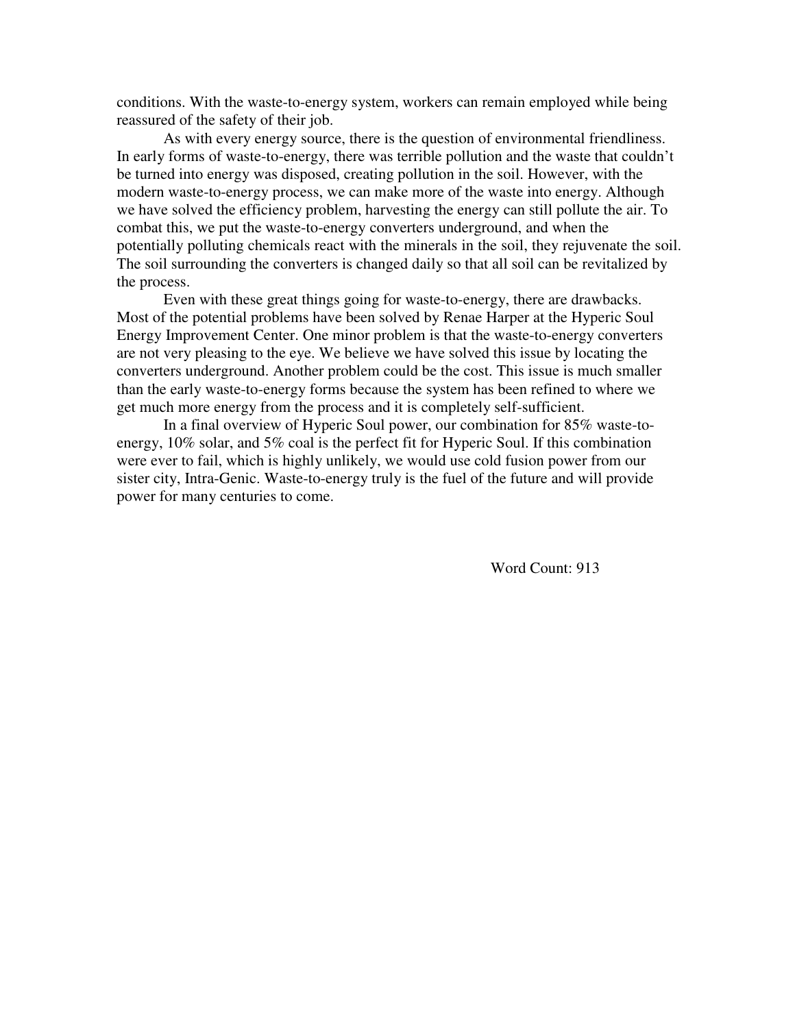conditions. With the waste-to-energy system, workers can remain employed while being reassured of the safety of their job.

As with every energy source, there is the question of environmental friendliness. In early forms of waste-to-energy, there was terrible pollution and the waste that couldn't be turned into energy was disposed, creating pollution in the soil. However, with the modern waste-to-energy process, we can make more of the waste into energy. Although we have solved the efficiency problem, harvesting the energy can still pollute the air. To combat this, we put the waste-to-energy converters underground, and when the potentially polluting chemicals react with the minerals in the soil, they rejuvenate the soil. The soil surrounding the converters is changed daily so that all soil can be revitalized by the process.

Even with these great things going for waste-to-energy, there are drawbacks. Most of the potential problems have been solved by Renae Harper at the Hyperic Soul Energy Improvement Center. One minor problem is that the waste-to-energy converters are not very pleasing to the eye. We believe we have solved this issue by locating the converters underground. Another problem could be the cost. This issue is much smaller than the early waste-to-energy forms because the system has been refined to where we get much more energy from the process and it is completely self-sufficient.

 In a final overview of Hyperic Soul power, our combination for 85% waste-toenergy, 10% solar, and 5% coal is the perfect fit for Hyperic Soul. If this combination were ever to fail, which is highly unlikely, we would use cold fusion power from our sister city, Intra-Genic. Waste-to-energy truly is the fuel of the future and will provide power for many centuries to come.

Word Count: 913